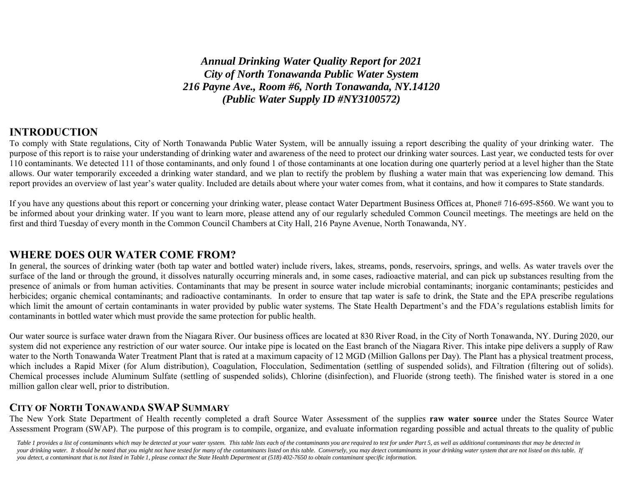*Annual Drinking Water Quality Report for 2021 City of North Tonawanda Public Water System 216 Payne Ave., Room #6, North Tonawanda, NY.14120 (Public Water Supply ID #NY3100572)* 

#### **INTRODUCTION**

To comply with State regulations, City of North Tonawanda Public Water System, will be annually issuing a report describing the quality of your drinking water. The purpose of this report is to raise your understanding of drinking water and awareness of the need to protect our drinking water sources. Last year, we conducted tests for over 110 contaminants. We detected 111 of those contaminants, and only found 1 of those contaminants at one location during one quarterly period at a level higher than the State allows. Our water temporarily exceeded a drinking water standard, and we plan to rectify the problem by flushing a water main that was experiencing low demand. This report provides an overview of last year's water quality. Included are details about where your water comes from, what it contains, and how it compares to State standards.

If you have any questions about this report or concerning your drinking water, please contact Water Department Business Offices at, Phone# 716-695-8560. We want you to be informed about your drinking water. If you want to learn more, please attend any of our regularly scheduled Common Council meetings. The meetings are held on the first and third Tuesday of every month in the Common Council Chambers at City Hall, 216 Payne Avenue, North Tonawanda, NY.

#### **WHERE DOES OUR WATER COME FROM?**

In general, the sources of drinking water (both tap water and bottled water) include rivers, lakes, streams, ponds, reservoirs, springs, and wells. As water travels over the surface of the land or through the ground, it dissolves naturally occurring minerals and, in some cases, radioactive material, and can pick up substances resulting from the presence of animals or from human activities. Contaminants that may be present in source water include microbial contaminants; inorganic contaminants; pesticides and herbicides; organic chemical contaminants; and radioactive contaminants. In order to ensure that tap water is safe to drink, the State and the EPA prescribe regulations which limit the amount of certain contaminants in water provided by public water systems. The State Health Department's and the FDA's regulations establish limits for contaminants in bottled water which must provide the same protection for public health.

Our water source is surface water drawn from the Niagara River. Our business offices are located at 830 River Road, in the City of North Tonawanda, NY. During 2020, our system did not experience any restriction of our water source. Our intake pipe is located on the East branch of the Niagara River. This intake pipe delivers a supply of Raw water to the North Tonawanda Water Treatment Plant that is rated at a maximum capacity of 12 MGD (Million Gallons per Day). The Plant has a physical treatment process, which includes a Rapid Mixer (for Alum distribution), Coagulation, Flocculation, Sedimentation (settling of suspended solids), and Filtration (filtering out of solids). Chemical processes include Aluminum Sulfate (settling of suspended solids), Chlorine (disinfection), and Fluoride (strong teeth). The finished water is stored in a one million gallon clear well, prior to distribution.

#### **CITY OF NORTH TONAWANDA SWAP SUMMARY**

The New York State Department of Health recently completed a draft Source Water Assessment of the supplies **raw water source** under the States Source Water Assessment Program (SWAP). The purpose of this program is to compile, organize, and evaluate information regarding possible and actual threats to the quality of public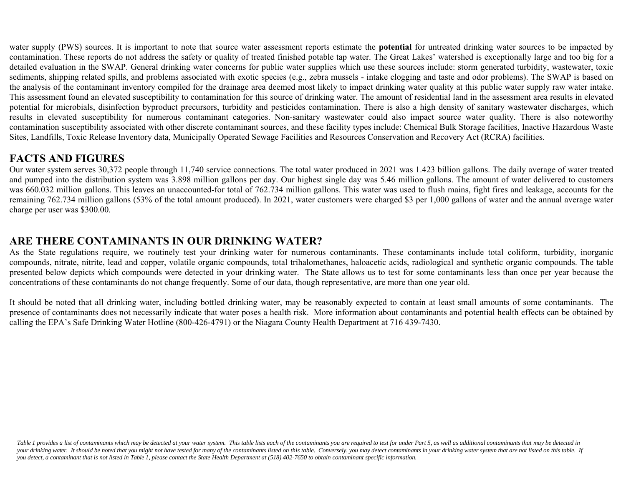water supply (PWS) sources. It is important to note that source water assessment reports estimate the **potential** for untreated drinking water sources to be impacted by contamination. These reports do not address the safety or quality of treated finished potable tap water. The Great Lakes' watershed is exceptionally large and too big for a detailed evaluation in the SWAP. General drinking water concerns for public water supplies which use these sources include: storm generated turbidity, wastewater, toxic sediments, shipping related spills, and problems associated with exotic species (e.g., zebra mussels - intake clogging and taste and odor problems). The SWAP is based on the analysis of the contaminant inventory compiled for the drainage area deemed most likely to impact drinking water quality at this public water supply raw water intake. This assessment found an elevated susceptibility to contamination for this source of drinking water. The amount of residential land in the assessment area results in elevated potential for microbials, disinfection byproduct precursors, turbidity and pesticides contamination. There is also a high density of sanitary wastewater discharges, which results in elevated susceptibility for numerous contaminant categories. Non-sanitary wastewater could also impact source water quality. There is also noteworthy contamination susceptibility associated with other discrete contaminant sources, and these facility types include: Chemical Bulk Storage facilities, Inactive Hazardous Waste Sites, Landfills, Toxic Release Inventory data, Municipally Operated Sewage Facilities and Resources Conservation and Recovery Act (RCRA) facilities.

### **FACTS AND FIGURES**

Our water system serves 30,372 people through 11,740 service connections. The total water produced in 2021 was 1.423 billion gallons. The daily average of water treated and pumped into the distribution system was 3.898 million gallons per day. Our highest single day was 5.46 million gallons. The amount of water delivered to customers was 660.032 million gallons. This leaves an unaccounted-for total of 762.734 million gallons. This water was used to flush mains, fight fires and leakage, accounts for the remaining 762.734 million gallons (53% of the total amount produced). In 2021, water customers were charged \$3 per 1,000 gallons of water and the annual average water charge per user was \$300.00.

### **ARE THERE CONTAMINANTS IN OUR DRINKING WATER?**

As the State regulations require, we routinely test your drinking water for numerous contaminants. These contaminants include total coliform, turbidity, inorganic compounds, nitrate, nitrite, lead and copper, volatile organic compounds, total trihalomethanes, haloacetic acids, radiological and synthetic organic compounds. The table presented below depicts which compounds were detected in your drinking water. The State allows us to test for some contaminants less than once per year because the concentrations of these contaminants do not change frequently. Some of our data, though representative, are more than one year old.

It should be noted that all drinking water, including bottled drinking water, may be reasonably expected to contain at least small amounts of some contaminants. The presence of contaminants does not necessarily indicate that water poses a health risk. More information about contaminants and potential health effects can be obtained by calling the EPA's Safe Drinking Water Hotline (800-426-4791) or the Niagara County Health Department at 716 439-7430.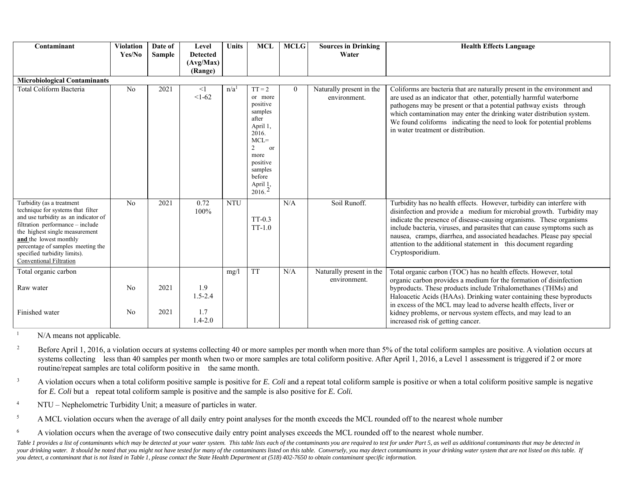| Contaminant                                                                                                                                                                                                                                                                                                   | <b>Violation</b><br>Yes/No | Date of<br><b>Sample</b> | Level<br><b>Detected</b><br>(Avg/Max)<br>(Range) | <b>Units</b>     | <b>MCL</b>                                                                                                                                                                        | <b>MCLG</b> | <b>Sources in Drinking</b><br>Water      | <b>Health Effects Language</b>                                                                                                                                                                                                                                                                                                                                                                                                                                       |
|---------------------------------------------------------------------------------------------------------------------------------------------------------------------------------------------------------------------------------------------------------------------------------------------------------------|----------------------------|--------------------------|--------------------------------------------------|------------------|-----------------------------------------------------------------------------------------------------------------------------------------------------------------------------------|-------------|------------------------------------------|----------------------------------------------------------------------------------------------------------------------------------------------------------------------------------------------------------------------------------------------------------------------------------------------------------------------------------------------------------------------------------------------------------------------------------------------------------------------|
|                                                                                                                                                                                                                                                                                                               |                            |                          |                                                  |                  |                                                                                                                                                                                   |             |                                          |                                                                                                                                                                                                                                                                                                                                                                                                                                                                      |
| <b>Microbiological Contaminants</b><br>Total Coliform Bacteria                                                                                                                                                                                                                                                | N <sub>o</sub>             | 2021                     | <1<br>$<1-62$                                    | n/a <sup>1</sup> | $TT = 2$<br>or more<br>positive<br>samples<br>after<br>April 1,<br>2016.<br>$MCL =$<br>$\overline{c}$<br><b>or</b><br>more<br>positive<br>samples<br>before<br>April 1,<br>2016.2 | $\theta$    | Naturally present in the<br>environment. | Coliforms are bacteria that are naturally present in the environment and<br>are used as an indicator that other, potentially harmful waterborne<br>pathogens may be present or that a potential pathway exists through<br>which contamination may enter the drinking water distribution system.<br>We found coliforms indicating the need to look for potential problems<br>in water treatment or distribution.                                                      |
| Turbidity (as a treatment<br>technique for systems that filter<br>and use turbidity as an indicator of<br>filtration performance - include<br>the highest single measurement<br>and the lowest monthly<br>percentage of samples meeting the<br>specified turbidity limits).<br><b>Conventional Filtration</b> | No                         | 2021                     | 0.72<br>100%                                     | <b>NTU</b>       | $TT-0.3$<br>$TT-1.0$                                                                                                                                                              | N/A         | Soil Runoff.                             | Turbidity has no health effects. However, turbidity can interfere with<br>disinfection and provide a medium for microbial growth. Turbidity may<br>indicate the presence of disease-causing organisms. These organisms<br>include bacteria, viruses, and parasites that can cause symptoms such as<br>nausea, cramps, diarrhea, and associated headaches. Please pay special<br>attention to the additional statement in this document regarding<br>Cryptosporidium. |
| Total organic carbon<br>Raw water<br>Finished water                                                                                                                                                                                                                                                           | N <sub>0</sub><br>No       | 2021<br>2021             | 1.9<br>$1.5 - 2.4$<br>1.7<br>$1.4 - 2.0$         | mg/l             | <b>TT</b>                                                                                                                                                                         | N/A         | Naturally present in the<br>environment. | Total organic carbon (TOC) has no health effects. However, total<br>organic carbon provides a medium for the formation of disinfection<br>byproducts. These products include Trihalomethanes (THMs) and<br>Haloacetic Acids (HAAs). Drinking water containing these byproducts<br>in excess of the MCL may lead to adverse health effects, liver or<br>kidney problems, or nervous system effects, and may lead to an<br>increased risk of getting cancer.           |

<sup>1</sup> N/A means not applicable.

<sup>2</sup> Before April 1, 2016, a violation occurs at systems collecting 40 or more samples per month when more than 5% of the total coliform samples are positive. A violation occurs at systems collecting less than 40 samples per month when two or more samples are total coliform positive. After April 1, 2016, a Level 1 assessment is triggered if 2 or more routine/repeat samples are total coliform positive in the same month.

<sup>3</sup> A violation occurs when a total coliform positive sample is positive for *E. Coli* and a repeat total coliform sample is positive or when a total coliform positive sample is negative for *E. Coli* but a repeat total coliform sample is positive and the sample is also positive for *E. Coli.*

4 NTU – Nephelometric Turbidity Unit; a measure of particles in water.

<sup>5</sup> A MCL violation occurs when the average of all daily entry point analyses for the month exceeds the MCL rounded off to the nearest whole number

<sup>6</sup> A violation occurs when the average of two consecutive daily entry point analyses exceeds the MCL rounded off to the nearest whole number.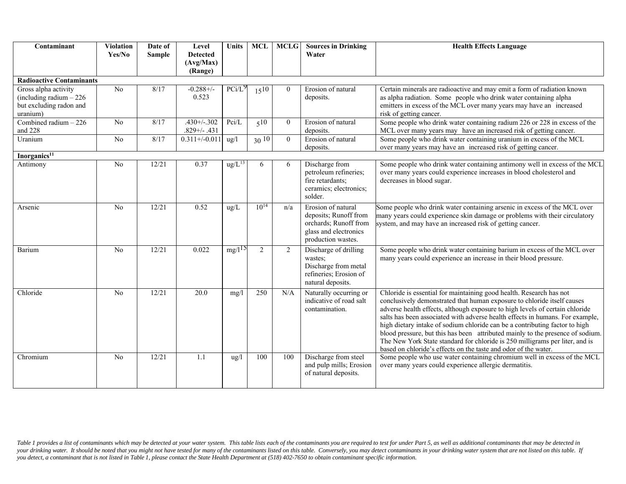| Contaminant                                                                             | <b>Violation</b><br>Yes/No | Date of<br><b>Sample</b> | Level<br><b>Detected</b><br>(Avg/Max)<br>(Range) | Units              | <b>MCL</b>     | <b>MCLG</b> | <b>Sources in Drinking</b><br>Water                                                                                 | <b>Health Effects Language</b>                                                                                                                                                                                                                                                                                                                                                                                                                                                                                                                                                                                                      |  |  |  |  |
|-----------------------------------------------------------------------------------------|----------------------------|--------------------------|--------------------------------------------------|--------------------|----------------|-------------|---------------------------------------------------------------------------------------------------------------------|-------------------------------------------------------------------------------------------------------------------------------------------------------------------------------------------------------------------------------------------------------------------------------------------------------------------------------------------------------------------------------------------------------------------------------------------------------------------------------------------------------------------------------------------------------------------------------------------------------------------------------------|--|--|--|--|
| <b>Radioactive Contaminants</b>                                                         |                            |                          |                                                  |                    |                |             |                                                                                                                     |                                                                                                                                                                                                                                                                                                                                                                                                                                                                                                                                                                                                                                     |  |  |  |  |
| Gross alpha activity<br>(including radium $-226$<br>but excluding radon and<br>uranium) | N <sub>o</sub>             | 8/17                     | $-0.288 + / -$<br>0.523                          | PCi/L              | $15^{10}$      | $\Omega$    | Erosion of natural<br>deposits.                                                                                     | Certain minerals are radioactive and may emit a form of radiation known<br>as alpha radiation. Some people who drink water containing alpha<br>emitters in excess of the MCL over many years may have an increased<br>risk of getting cancer.                                                                                                                                                                                                                                                                                                                                                                                       |  |  |  |  |
| Combined radium $-226$<br>and 228                                                       | No                         | 8/17                     | $.430 + 7.302$<br>$.829 + / - .431$              | Pci/L              | 510            | $\theta$    | Erosion of natural<br>deposits.                                                                                     | Some people who drink water containing radium 226 or 228 in excess of the<br>MCL over many years may have an increased risk of getting cancer.                                                                                                                                                                                                                                                                                                                                                                                                                                                                                      |  |  |  |  |
| Uranium                                                                                 | N <sub>o</sub>             | 8/17                     | $0.311+/0.011$                                   | $\frac{u}{g}$      | $30^{10}$      | $\theta$    | Erosion of natural<br>deposits.                                                                                     | Some people who drink water containing uranium in excess of the MCL<br>over many years may have an increased risk of getting cancer.                                                                                                                                                                                                                                                                                                                                                                                                                                                                                                |  |  |  |  |
| Inorganics <sup>11</sup>                                                                |                            |                          |                                                  |                    |                |             |                                                                                                                     |                                                                                                                                                                                                                                                                                                                                                                                                                                                                                                                                                                                                                                     |  |  |  |  |
| Antimony                                                                                | N <sub>o</sub>             | 12/21                    | 0.37                                             | $\text{ug/L}^{13}$ | 6              | 6           | Discharge from<br>petroleum refineries;<br>fire retardants;<br>ceramics; electronics;<br>solder.                    | Some people who drink water containing antimony well in excess of the MCL<br>over many years could experience increases in blood cholesterol and<br>decreases in blood sugar.                                                                                                                                                                                                                                                                                                                                                                                                                                                       |  |  |  |  |
| Arsenic                                                                                 | No                         | 12/21                    | 0.52                                             | $\text{ug/L}$      | $10^{14}$      | n/a         | Erosion of natural<br>deposits; Runoff from<br>orchards; Runoff from<br>glass and electronics<br>production wastes. | Some people who drink water containing arsenic in excess of the MCL over<br>many years could experience skin damage or problems with their circulatory<br>system, and may have an increased risk of getting cancer.                                                                                                                                                                                                                                                                                                                                                                                                                 |  |  |  |  |
| Barium                                                                                  | N <sub>o</sub>             | 12/21                    | 0.022                                            | $mg/l^{15}$        | $\overline{2}$ | 2           | Discharge of drilling<br>wastes;<br>Discharge from metal<br>refineries; Erosion of<br>natural deposits.             | Some people who drink water containing barium in excess of the MCL over<br>many years could experience an increase in their blood pressure.                                                                                                                                                                                                                                                                                                                                                                                                                                                                                         |  |  |  |  |
| Chloride                                                                                | N <sub>o</sub>             | 12/21                    | 20.0                                             | mg/1               | 250            | N/A         | Naturally occurring or<br>indicative of road salt<br>contamination.                                                 | Chloride is essential for maintaining good health. Research has not<br>conclusively demonstrated that human exposure to chloride itself causes<br>adverse health effects, although exposure to high levels of certain chloride<br>salts has been associated with adverse health effects in humans. For example,<br>high dietary intake of sodium chloride can be a contributing factor to high<br>blood pressure, but this has been attributed mainly to the presence of sodium.<br>The New York State standard for chloride is 250 milligrams per liter, and is<br>based on chloride's effects on the taste and odor of the water. |  |  |  |  |
| Chromium                                                                                | N <sub>o</sub>             | 12/21                    | 1.1                                              | $\frac{u g}{l}$    | 100            | 100         | Discharge from steel<br>and pulp mills; Erosion<br>of natural deposits.                                             | Some people who use water containing chromium well in excess of the MCL<br>over many years could experience allergic dermatitis.                                                                                                                                                                                                                                                                                                                                                                                                                                                                                                    |  |  |  |  |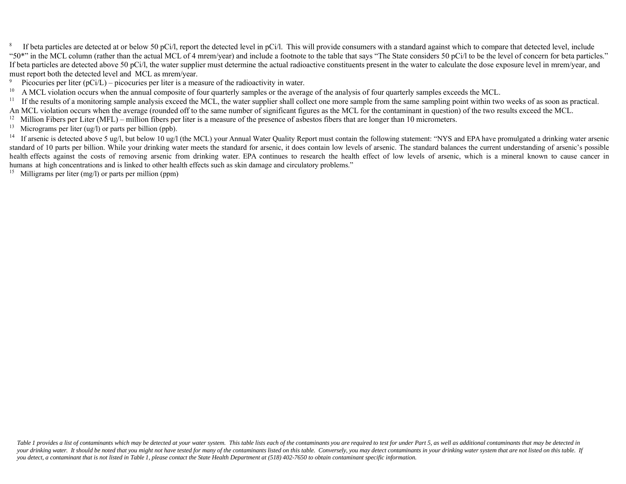<sup>8</sup> If beta particles are detected at or below 50 pCi/l, report the detected level in pCi/l. This will provide consumers with a standard against which to compare that detected level, include "50\*" in the MCL column (rather than the actual MCL of 4 mrem/year) and include a footnote to the table that says "The State considers 50 pCi/l to be the level of concern for beta particles." If beta particles are detected above 50 pCi/l, the water supplier must determine the actual radioactive constituents present in the water to calculate the dose exposure level in mrem/year, and must report both the detected level and MCL as mrem/year.<br><sup>9</sup> Picocuries per liter (pCi/L) – picocuries per liter is a mea

<sup>9</sup> Picocuries per liter (pCi/L) – picocuries per liter is a measure of the radioactivity in water.<br><sup>10</sup> A MCI violation occurs when the annual composite of four quarterly samples or the avera

A MCL violation occurs when the annual composite of four quarterly samples or the average of the analysis of four quarterly samples exceeds the MCL.

<sup>11</sup> If the results of a monitoring sample analysis exceed the MCL, the water supplier shall collect one more sample from the same sampling point within two weeks of as soon as practical. An MCL violation occurs when the average (rounded off to the same number of significant figures as the MCL for the contaminant in question) of the two results exceed the MCL.

<sup>12</sup> Million Fibers per Liter (MFL) – million fibers per liter is a measure of the presence of asbestos fibers that are longer than 10 micrometers.

<sup>13</sup> Micrograms per liter (ug/l) or parts per billion (ppb).

14If arsenic is detected above 5 ug/l, but below 10 ug/l (the MCL) your Annual Water Quality Report must contain the following statement: "NYS and EPA have promulgated a drinking water arsenic standard of 10 parts per billion. While your drinking water meets the standard for arsenic, it does contain low levels of arsenic. The standard balances the current understanding of arsenic's possible health effects against the costs of removing arsenic from drinking water. EPA continues to research the health effect of low levels of arsenic, which is a mineral known to cause cancer in humans at high concentrations and is linked to other health effects such as skin damage and circulatory problems."

<sup>15</sup> Milligrams per liter (mg/l) or parts per million (ppm)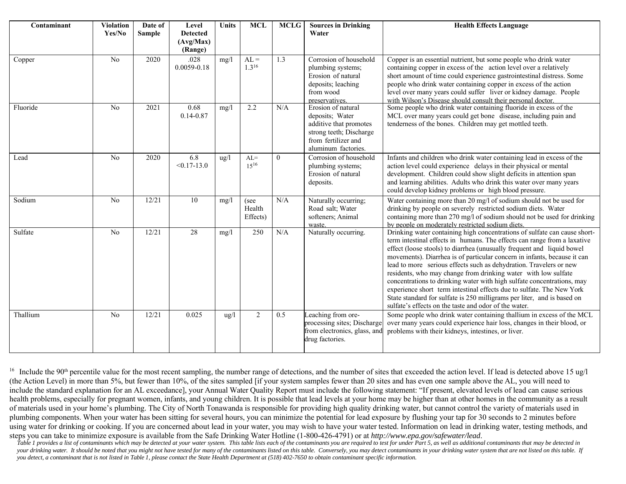| Contaminant | <b>Violation</b><br>Yes/No | Date of<br><b>Sample</b> | Level<br><b>Detected</b><br>(Avg/Max)<br>(Range) | Units           | <b>MCL</b>                 | <b>MCLG</b>      | <b>Sources in Drinking</b><br>Water                                                                                                      | <b>Health Effects Language</b>                                                                                                                                                                                                                                                                                                                                                                                                                                                                                                                                                                                                                                                                                                             |
|-------------|----------------------------|--------------------------|--------------------------------------------------|-----------------|----------------------------|------------------|------------------------------------------------------------------------------------------------------------------------------------------|--------------------------------------------------------------------------------------------------------------------------------------------------------------------------------------------------------------------------------------------------------------------------------------------------------------------------------------------------------------------------------------------------------------------------------------------------------------------------------------------------------------------------------------------------------------------------------------------------------------------------------------------------------------------------------------------------------------------------------------------|
| Copper      | $\overline{No}$            | 2020                     | .028<br>$0.0059 - 0.18$                          | mg/l            | $AL =$<br>$1.3^{16}$       | $\overline{1.3}$ | Corrosion of household<br>plumbing systems;<br>Erosion of natural<br>deposits; leaching<br>from wood<br>preservatives.                   | Copper is an essential nutrient, but some people who drink water<br>containing copper in excess of the action level over a relatively<br>short amount of time could experience gastrointestinal distress. Some<br>people who drink water containing copper in excess of the action<br>level over many years could suffer liver or kidney damage. People<br>with Wilson's Disease should consult their personal doctor.                                                                                                                                                                                                                                                                                                                     |
| Fluoride    | N <sub>o</sub>             | 2021                     | 0.68<br>$0.14 - 0.87$                            | mg/1            | 2.2                        | N/A              | Erosion of natural<br>deposits; Water<br>additive that promotes<br>strong teeth; Discharge<br>from fertilizer and<br>aluminum factories. | Some people who drink water containing fluoride in excess of the<br>MCL over many years could get bone disease, including pain and<br>tenderness of the bones. Children may get mottled teeth.                                                                                                                                                                                                                                                                                                                                                                                                                                                                                                                                             |
| Lead        | N <sub>o</sub>             | 2020                     | 6.8<br>$< 0.17 - 13.0$                           | $\frac{u g}{l}$ | $AL=$<br>$15^{16}$         | $\overline{0}$   | Corrosion of household<br>plumbing systems;<br>Erosion of natural<br>deposits.                                                           | Infants and children who drink water containing lead in excess of the<br>action level could experience delays in their physical or mental<br>development. Children could show slight deficits in attention span<br>and learning abilities. Adults who drink this water over many years<br>could develop kidney problems or high blood pressure.                                                                                                                                                                                                                                                                                                                                                                                            |
| Sodium      | No                         | 12/21                    | 10                                               | mg/1            | (see<br>Health<br>Effects) | N/A              | Naturally occurring;<br>Road salt; Water<br>softeners; Animal<br>waste.                                                                  | Water containing more than 20 mg/l of sodium should not be used for<br>drinking by people on severely restricted sodium diets. Water<br>containing more than 270 mg/l of sodium should not be used for drinking<br>by people on moderately restricted sodium diets.                                                                                                                                                                                                                                                                                                                                                                                                                                                                        |
| Sulfate     | No                         | 12/21                    | 28                                               | mg/1            | 250                        | N/A              | Naturally occurring.                                                                                                                     | Drinking water containing high concentrations of sulfate can cause short-<br>term intestinal effects in humans. The effects can range from a laxative<br>effect (loose stools) to diarrhea (unusually frequent and liquid bowel<br>movements). Diarrhea is of particular concern in infants, because it can<br>lead to more serious effects such as dehydration. Travelers or new<br>residents, who may change from drinking water with low sulfate<br>concentrations to drinking water with high sulfate concentrations, may<br>experience short term intestinal effects due to sulfate. The New York<br>State standard for sulfate is 250 milligrams per liter, and is based on<br>sulfate's effects on the taste and odor of the water. |
| Thallium    | No                         | 12/21                    | 0.025                                            | $\frac{u}{g}$   | $\overline{2}$             | 0.5              | Leaching from ore-<br>processing sites; Discharge<br>from electronics, glass, and<br>drug factories.                                     | Some people who drink water containing thallium in excess of the MCL<br>over many years could experience hair loss, changes in their blood, or<br>problems with their kidneys, intestines, or liver.                                                                                                                                                                                                                                                                                                                                                                                                                                                                                                                                       |

<sup>16</sup> Include the 90<sup>th</sup> percentile value for the most recent sampling, the number range of detections, and the number of sites that exceeded the action level. If lead is detected above 15 ug/l (the Action Level) in more than 5%, but fewer than 10%, of the sites sampled [if your system samples fewer than 20 sites and has even one sample above the AL, you will need to include the standard explanation for an AL exceedance], your Annual Water Quality Report must include the following statement: "If present, elevated levels of lead can cause serious health problems, especially for pregnant women, infants, and young children. It is possible that lead levels at your home may be higher than at other homes in the community as a result of materials used in your home's plumbing. The City of North Tonawanda is responsible for providing high quality drinking water, but cannot control the variety of materials used in plumbing components. When your water has been sitting for several hours, you can minimize the potential for lead exposure by flushing your tap for 30 seconds to 2 minutes before using water for drinking or cooking. If you are concerned about lead in your water, you may wish to have your water tested. Information on lead in drinking water, testing methods, and steps you can take to minimize exposure is available from the Safe Drinking Water Hotline (1-800-426-4791) or at *http://www.epa.gov/safewater/lead*.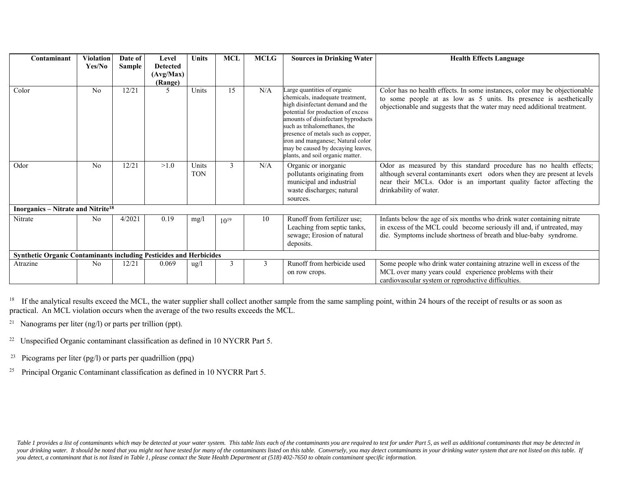| Contaminant                                                               | <b>Violation</b> | Date of | Level                                   | Units               | <b>MCL</b>    | <b>MCLG</b> | <b>Sources in Drinking Water</b>                                                                                                                                                                                                                                                                                                                                    | <b>Health Effects Language</b>                                                                                                                                                                                                                  |
|---------------------------------------------------------------------------|------------------|---------|-----------------------------------------|---------------------|---------------|-------------|---------------------------------------------------------------------------------------------------------------------------------------------------------------------------------------------------------------------------------------------------------------------------------------------------------------------------------------------------------------------|-------------------------------------------------------------------------------------------------------------------------------------------------------------------------------------------------------------------------------------------------|
|                                                                           | Yes/No           | Sample  | <b>Detected</b><br>(Avg/Max)<br>(Range) |                     |               |             |                                                                                                                                                                                                                                                                                                                                                                     |                                                                                                                                                                                                                                                 |
| Color                                                                     | N <sub>o</sub>   | 12/21   | 5                                       | Units               | 15            | N/A         | Large quantities of organic<br>chemicals, inadequate treatment,<br>high disinfectant demand and the<br>potential for production of excess<br>amounts of disinfectant byproducts<br>such as trihalomethanes, the<br>presence of metals such as copper,<br>iron and manganese; Natural color<br>may be caused by decaying leaves,<br>plants, and soil organic matter. | Color has no health effects. In some instances, color may be objectionable<br>to some people at as low as 5 units. Its presence is aesthetically<br>objectionable and suggests that the water may need additional treatment.                    |
| Odor                                                                      | No               | 12/21   | >1.0                                    | Units<br><b>TON</b> | $\mathcal{E}$ | N/A         | Organic or inorganic<br>pollutants originating from<br>municipal and industrial<br>waste discharges; natural<br>sources.                                                                                                                                                                                                                                            | Odor as measured by this standard procedure has no health effects;<br>although several contaminants exert odors when they are present at levels<br>near their MCLs. Odor is an important quality factor affecting the<br>drinkability of water. |
| Inorganics - Nitrate and Nitrite <sup>18</sup>                            |                  |         |                                         |                     |               |             |                                                                                                                                                                                                                                                                                                                                                                     |                                                                                                                                                                                                                                                 |
| Nitrate                                                                   | No               | 4/2021  | 0.19                                    | mg/1                | $10^{19}$     | 10          | Runoff from fertilizer use;<br>Leaching from septic tanks,<br>sewage; Erosion of natural<br>deposits.                                                                                                                                                                                                                                                               | Infants below the age of six months who drink water containing nitrate<br>in excess of the MCL could become seriously ill and, if untreated, may<br>die. Symptoms include shortness of breath and blue-baby syndrome.                           |
| <b>Synthetic Organic Contaminants including Pesticides and Herbicides</b> |                  |         |                                         |                     |               |             |                                                                                                                                                                                                                                                                                                                                                                     |                                                                                                                                                                                                                                                 |
| Atrazine                                                                  | N <sub>o</sub>   | 12/21   | 0.069                                   | $\frac{u g}{l}$     | 3             | 3           | Runoff from herbicide used<br>on row crops.                                                                                                                                                                                                                                                                                                                         | Some people who drink water containing atrazine well in excess of the<br>MCL over many years could experience problems with their<br>cardiovascular system or reproductive difficulties.                                                        |

<sup>18</sup> If the analytical results exceed the MCL, the water supplier shall collect another sample from the same sampling point, within 24 hours of the receipt of results or as soon as practical. An MCL violation occurs when the average of the two results exceeds the MCL.

- <sup>21</sup> Nanograms per liter  $(ng/l)$  or parts per trillion (ppt).
- <sup>22</sup> Unspecified Organic contaminant classification as defined in 10 NYCRR Part 5.
- <sup>23</sup> Picograms per liter (pg/l) or parts per quadrillion (ppq)
- <sup>25</sup> Principal Organic Contaminant classification as defined in 10 NYCRR Part 5.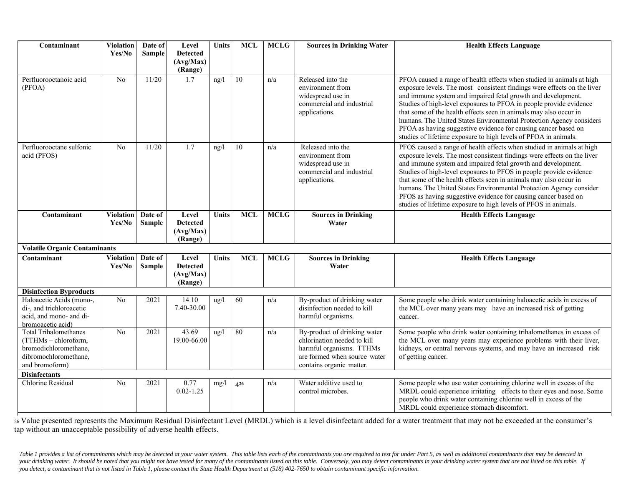| Contaminant                                                                                                              | <b>Violation</b>           | Date of                  | Level                                            | Units         | <b>MCL</b>      | <b>MCLG</b> | <b>Sources in Drinking Water</b>                                                                                                                    | <b>Health Effects Language</b>                                                                                                                                                                                                                                                                                                                                                                                                                                                                                                                                          |
|--------------------------------------------------------------------------------------------------------------------------|----------------------------|--------------------------|--------------------------------------------------|---------------|-----------------|-------------|-----------------------------------------------------------------------------------------------------------------------------------------------------|-------------------------------------------------------------------------------------------------------------------------------------------------------------------------------------------------------------------------------------------------------------------------------------------------------------------------------------------------------------------------------------------------------------------------------------------------------------------------------------------------------------------------------------------------------------------------|
|                                                                                                                          | Yes/No                     | <b>Sample</b>            | <b>Detected</b><br>(Avg/Max)                     |               |                 |             |                                                                                                                                                     |                                                                                                                                                                                                                                                                                                                                                                                                                                                                                                                                                                         |
|                                                                                                                          |                            |                          | (Range)                                          |               |                 |             |                                                                                                                                                     |                                                                                                                                                                                                                                                                                                                                                                                                                                                                                                                                                                         |
| Perfluorooctanoic acid<br>(PFOA)                                                                                         | No                         | 11/20                    | 1.7                                              | ng/l          | $\overline{10}$ | n/a         | Released into the<br>environment from<br>widespread use in<br>commercial and industrial<br>applications.                                            | PFOA caused a range of health effects when studied in animals at high<br>exposure levels. The most consistent findings were effects on the liver<br>and immune system and impaired fetal growth and development.<br>Studies of high-level exposures to PFOA in people provide evidence<br>that some of the health effects seen in animals may also occur in<br>humans. The United States Environmental Protection Agency considers<br>PFOA as having suggestive evidence for causing cancer based on<br>studies of lifetime exposure to high levels of PFOA in animals. |
| Perfluorooctane sulfonic<br>acid (PFOS)                                                                                  | $\overline{No}$            | 11/20                    | 1.7                                              | ng/l          | 10              | n/a         | Released into the<br>environment from<br>widespread use in<br>commercial and industrial<br>applications.                                            | PFOS caused a range of health effects when studied in animals at high<br>exposure levels. The most consistent findings were effects on the liver<br>and immune system and impaired fetal growth and development.<br>Studies of high-level exposures to PFOS in people provide evidence<br>that some of the health effects seen in animals may also occur in<br>humans. The United States Environmental Protection Agency consider<br>PFOS as having suggestive evidence for causing cancer based on<br>studies of lifetime exposure to high levels of PFOS in animals.  |
| Contaminant                                                                                                              | <b>Violation</b><br>Yes/No | Date of<br>Sample        | Level<br><b>Detected</b><br>(Avg/Max)<br>(Range) | Units         | <b>MCL</b>      | <b>MCLG</b> | <b>Sources in Drinking</b><br>Water                                                                                                                 | <b>Health Effects Language</b>                                                                                                                                                                                                                                                                                                                                                                                                                                                                                                                                          |
| <b>Volatile Organic Contaminants</b>                                                                                     |                            |                          |                                                  |               |                 |             |                                                                                                                                                     |                                                                                                                                                                                                                                                                                                                                                                                                                                                                                                                                                                         |
| Contaminant                                                                                                              | <b>Violation</b><br>Yes/No | Date of<br><b>Sample</b> | Level<br><b>Detected</b><br>(Avg/Max)<br>(Range) | <b>Units</b>  | <b>MCL</b>      | <b>MCLG</b> | <b>Sources in Drinking</b><br>Water                                                                                                                 | <b>Health Effects Language</b>                                                                                                                                                                                                                                                                                                                                                                                                                                                                                                                                          |
| <b>Disinfection Byproducts</b>                                                                                           |                            |                          |                                                  |               |                 |             |                                                                                                                                                     |                                                                                                                                                                                                                                                                                                                                                                                                                                                                                                                                                                         |
| Haloacetic Acids (mono-,<br>di-, and trichloroacetic<br>acid, and mono- and di-<br>bromoacetic acid)                     | N <sub>o</sub>             | 2021                     | 14.10<br>7.40-30.00                              | $\frac{u}{g}$ | 60              | n/a         | By-product of drinking water<br>disinfection needed to kill<br>harmful organisms.                                                                   | Some people who drink water containing haloacetic acids in excess of<br>the MCL over many years may have an increased risk of getting<br>cancer.                                                                                                                                                                                                                                                                                                                                                                                                                        |
| <b>Total Trihalomethanes</b><br>(TTHMs - chloroform,<br>bromodichloromethane,<br>dibromochloromethane,<br>and bromoform) | No                         | 2021                     | 43.69<br>19.00-66.00                             | $\frac{u}{g}$ | 80              | n/a         | By-product of drinking water<br>chlorination needed to kill<br>harmful organisms. TTHMs<br>are formed when source water<br>contains organic matter. | Some people who drink water containing trihalomethanes in excess of<br>the MCL over many years may experience problems with their liver,<br>kidneys, or central nervous systems, and may have an increased risk<br>of getting cancer.                                                                                                                                                                                                                                                                                                                                   |
| <b>Disinfectants</b>                                                                                                     |                            |                          |                                                  |               |                 |             |                                                                                                                                                     |                                                                                                                                                                                                                                                                                                                                                                                                                                                                                                                                                                         |
| Chlorine Residual                                                                                                        | N <sub>o</sub>             | 2021                     | 0.77<br>$0.02 - 1.25$                            | mg/1          | 426             | n/a         | Water additive used to<br>control microbes.                                                                                                         | Some people who use water containing chlorine well in excess of the<br>MRDL could experience irritating effects to their eyes and nose. Some<br>people who drink water containing chlorine well in excess of the<br>MRDL could experience stomach discomfort.                                                                                                                                                                                                                                                                                                           |

26 Value presented represents the Maximum Residual Disinfectant Level (MRDL) which is a level disinfectant added for a water treatment that may not be exceeded at the consumer's tap without an unacceptable possibility of adverse health effects.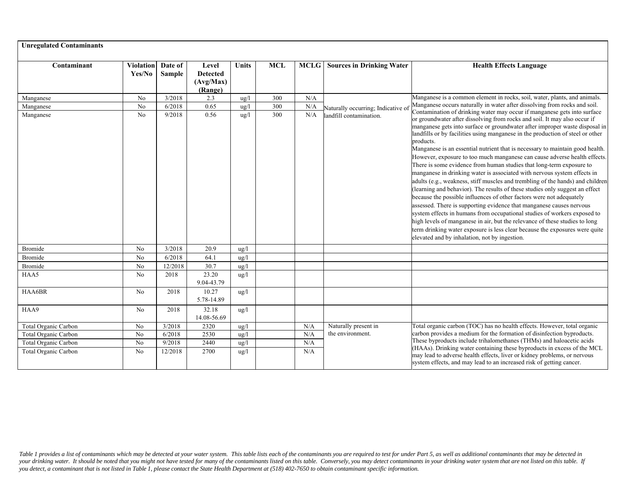| <b>Unregulated Contaminants</b> |                            |                   |                                                  |                 |            |             |                                                               |                                                                                                                                                                                                                                                                                                                                                                                                                                                                                                                                                                                                                                                                                                                                                                                                                                                                                                                                                                                                                                                                                                                                                                                                                                                                                                                                                 |
|---------------------------------|----------------------------|-------------------|--------------------------------------------------|-----------------|------------|-------------|---------------------------------------------------------------|-------------------------------------------------------------------------------------------------------------------------------------------------------------------------------------------------------------------------------------------------------------------------------------------------------------------------------------------------------------------------------------------------------------------------------------------------------------------------------------------------------------------------------------------------------------------------------------------------------------------------------------------------------------------------------------------------------------------------------------------------------------------------------------------------------------------------------------------------------------------------------------------------------------------------------------------------------------------------------------------------------------------------------------------------------------------------------------------------------------------------------------------------------------------------------------------------------------------------------------------------------------------------------------------------------------------------------------------------|
| Contaminant                     | <b>Violation</b><br>Yes/No | Date of<br>Sample | Level<br><b>Detected</b><br>(Avg/Max)<br>(Range) | <b>Units</b>    | <b>MCL</b> | <b>MCLG</b> | <b>Sources in Drinking Water</b>                              | <b>Health Effects Language</b>                                                                                                                                                                                                                                                                                                                                                                                                                                                                                                                                                                                                                                                                                                                                                                                                                                                                                                                                                                                                                                                                                                                                                                                                                                                                                                                  |
| Manganese                       | No                         | 3/2018            | 2.3                                              | $u\alpha/l$     | 300        | N/A         |                                                               | Manganese is a common element in rocks, soil, water, plants, and animals.                                                                                                                                                                                                                                                                                                                                                                                                                                                                                                                                                                                                                                                                                                                                                                                                                                                                                                                                                                                                                                                                                                                                                                                                                                                                       |
| Manganese                       | No                         | 6/2018            | 0.65                                             | $u\alpha/l$     | 300        | N/A         | Naturally occurring; Indicative of<br>landfill contamination. | Manganese occurs naturally in water after dissolving from rocks and soil.<br>Contamination of drinking water may occur if manganese gets into surface<br>or groundwater after dissolving from rocks and soil. It may also occur if<br>manganese gets into surface or groundwater after improper waste disposal in<br>landfills or by facilities using manganese in the production of steel or other<br>products.<br>Manganese is an essential nutrient that is necessary to maintain good health.<br>However, exposure to too much manganese can cause adverse health effects.<br>There is some evidence from human studies that long-term exposure to<br>manganese in drinking water is associated with nervous system effects in<br>adults (e.g., weakness, stiff muscles and trembling of the hands) and children<br>(learning and behavior). The results of these studies only suggest an effect<br>because the possible influences of other factors were not adequately<br>assessed. There is supporting evidence that manganese causes nervous<br>system effects in humans from occupational studies of workers exposed to<br>high levels of manganese in air, but the relevance of these studies to long<br>term drinking water exposure is less clear because the exposures were quite<br>elevated and by inhalation, not by ingestion. |
| Manganese                       | No                         | 9/2018            | 0.56                                             | $\frac{u}{g}$   | 300        | N/A         |                                                               |                                                                                                                                                                                                                                                                                                                                                                                                                                                                                                                                                                                                                                                                                                                                                                                                                                                                                                                                                                                                                                                                                                                                                                                                                                                                                                                                                 |
| Bromide                         | No                         | 3/2018            | 20.9                                             | ug/l            |            |             |                                                               |                                                                                                                                                                                                                                                                                                                                                                                                                                                                                                                                                                                                                                                                                                                                                                                                                                                                                                                                                                                                                                                                                                                                                                                                                                                                                                                                                 |
| Bromide                         | No                         | 6/2018            | 64.1                                             | $\frac{u}{g}$   |            |             |                                                               |                                                                                                                                                                                                                                                                                                                                                                                                                                                                                                                                                                                                                                                                                                                                                                                                                                                                                                                                                                                                                                                                                                                                                                                                                                                                                                                                                 |
| Bromide                         | No                         | 12/2018           | 30.7                                             | ug/l            |            |             |                                                               |                                                                                                                                                                                                                                                                                                                                                                                                                                                                                                                                                                                                                                                                                                                                                                                                                                                                                                                                                                                                                                                                                                                                                                                                                                                                                                                                                 |
| HAA5                            | No                         | 2018              | 23.20<br>9.04-43.79                              | ug/l            |            |             |                                                               |                                                                                                                                                                                                                                                                                                                                                                                                                                                                                                                                                                                                                                                                                                                                                                                                                                                                                                                                                                                                                                                                                                                                                                                                                                                                                                                                                 |
| HAA6BR                          | No                         | 2018              | 10.27<br>5.78-14.89                              | $\frac{u}{g}$   |            |             |                                                               |                                                                                                                                                                                                                                                                                                                                                                                                                                                                                                                                                                                                                                                                                                                                                                                                                                                                                                                                                                                                                                                                                                                                                                                                                                                                                                                                                 |
| HAA9                            | No                         | 2018              | 32.18<br>14.08-56.69                             | $\frac{u}{g}$   |            |             |                                                               |                                                                                                                                                                                                                                                                                                                                                                                                                                                                                                                                                                                                                                                                                                                                                                                                                                                                                                                                                                                                                                                                                                                                                                                                                                                                                                                                                 |
| Total Organic Carbon            | No                         | 3/2018            | 2320                                             | $u\mathbf{g}/l$ |            | N/A         | Naturally present in                                          | Total organic carbon (TOC) has no health effects. However, total organic                                                                                                                                                                                                                                                                                                                                                                                                                                                                                                                                                                                                                                                                                                                                                                                                                                                                                                                                                                                                                                                                                                                                                                                                                                                                        |
| Total Organic Carbon            | N <sub>o</sub>             | 6/2018            | 2530                                             | $\frac{u}{g}$   |            | N/A         | the environment.                                              | carbon provides a medium for the formation of disinfection byproducts.                                                                                                                                                                                                                                                                                                                                                                                                                                                                                                                                                                                                                                                                                                                                                                                                                                                                                                                                                                                                                                                                                                                                                                                                                                                                          |
| Total Organic Carbon            | No                         | 9/2018            | 2440                                             | ug/l            |            | N/A         |                                                               | These byproducts include trihalomethanes (THMs) and haloacetic acids                                                                                                                                                                                                                                                                                                                                                                                                                                                                                                                                                                                                                                                                                                                                                                                                                                                                                                                                                                                                                                                                                                                                                                                                                                                                            |
| <b>Total Organic Carbon</b>     | No                         | 12/2018           | 2700                                             | $\frac{u}{g}$   |            | N/A         |                                                               | (HAAs). Drinking water containing these byproducts in excess of the MCL<br>may lead to adverse health effects, liver or kidney problems, or nervous<br>system effects, and may lead to an increased risk of getting cancer.                                                                                                                                                                                                                                                                                                                                                                                                                                                                                                                                                                                                                                                                                                                                                                                                                                                                                                                                                                                                                                                                                                                     |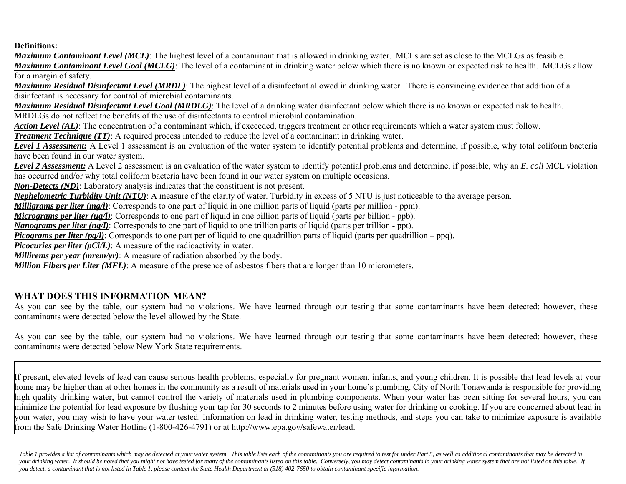#### **Definitions:**

*Maximum Contaminant Level (MCL)*: The highest level of a contaminant that is allowed in drinking water. MCLs are set as close to the MCLGs as feasible. *Maximum Contaminant Level Goal (MCLG)*: The level of a contaminant in drinking water below which there is no known or expected risk to health. MCLGs allow for a margin of safety.

*Maximum Residual Disinfectant Level (MRDL)*: The highest level of a disinfectant allowed in drinking water. There is convincing evidence that addition of a disinfectant is necessary for control of microbial contaminants.

*Maximum Residual Disinfectant Level Goal (MRDLG)*: The level of a drinking water disinfectant below which there is no known or expected risk to health. MRDLGs do not reflect the benefits of the use of disinfectants to control microbial contamination.

*Action Level (AL)*: The concentration of a contaminant which, if exceeded, triggers treatment or other requirements which a water system must follow.

*Treatment Technique (TT)*: A required process intended to reduce the level of a contaminant in drinking water.

*Level 1 Assessment:* A Level 1 assessment is an evaluation of the water system to identify potential problems and determine, if possible, why total coliform bacteria have been found in our water system.

*Level 2 Assessment:* A Level 2 assessment is an evaluation of the water system to identify potential problems and determine, if possible, why an *E. coli* MCL violation has occurred and/or why total coliform bacteria have been found in our water system on multiple occasions.

*Non-Detects (ND)*: Laboratory analysis indicates that the constituent is not present.

*Nephelometric Turbidity Unit (NTU)*: A measure of the clarity of water. Turbidity in excess of 5 NTU is just noticeable to the average person.

*Milligrams per liter (mg/l)*: Corresponds to one part of liquid in one million parts of liquid (parts per million - ppm).

*Micrograms per liter (ug/l)*: Corresponds to one part of liquid in one billion parts of liquid (parts per billion - ppb).

*Nanograms per liter (ng/l)*: Corresponds to one part of liquid to one trillion parts of liquid (parts per trillion - ppt).

*Picograms per liter (pg/l)*: Corresponds to one part per of liquid to one quadrillion parts of liquid (parts per quadrillion – ppq).

*Picocuries per liter (pCi/L)*: A measure of the radioactivity in water.

*Millirems per year (mrem/yr)*: A measure of radiation absorbed by the body.

*Million Fibers per Liter (MFL)*: A measure of the presence of asbestos fibers that are longer than 10 micrometers.

#### **WHAT DOES THIS INFORMATION MEAN?**

As you can see by the table, our system had no violations. We have learned through our testing that some contaminants have been detected; however, these contaminants were detected below the level allowed by the State.

As you can see by the table, our system had no violations. We have learned through our testing that some contaminants have been detected; however, these contaminants were detected below New York State requirements.

If present, elevated levels of lead can cause serious health problems, especially for pregnant women, infants, and young children. It is possible that lead levels at your home may be higher than at other homes in the community as a result of materials used in your home's plumbing. City of North Tonawanda is responsible for providing high quality drinking water, but cannot control the variety of materials used in plumbing components. When your water has been sitting for several hours, you can minimize the potential for lead exposure by flushing your tap for 30 seconds to 2 minutes before using water for drinking or cooking. If you are concerned about lead in your water, you may wish to have your water tested. Information on lead in drinking water, testing methods, and steps you can take to minimize exposure is available from the Safe Drinking Water Hotline (1-800-426-4791) or at http://www.epa.gov/safewater/lead.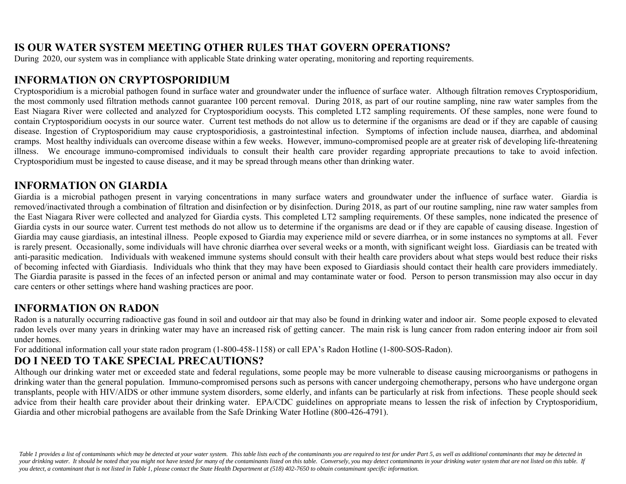## **IS OUR WATER SYSTEM MEETING OTHER RULES THAT GOVERN OPERATIONS?**

During 2020, our system was in compliance with applicable State drinking water operating, monitoring and reporting requirements.

## **INFORMATION ON CRYPTOSPORIDIUM**

Cryptosporidium is a microbial pathogen found in surface water and groundwater under the influence of surface water. Although filtration removes Cryptosporidium, the most commonly used filtration methods cannot guarantee 100 percent removal. During 2018, as part of our routine sampling, nine raw water samples from the East Niagara River were collected and analyzed for Cryptosporidium oocysts. This completed LT2 sampling requirements. Of these samples, none were found to contain Cryptosporidium oocysts in our source water. Current test methods do not allow us to determine if the organisms are dead or if they are capable of causing disease. Ingestion of Cryptosporidium may cause cryptosporidiosis, a gastrointestinal infection. Symptoms of infection include nausea, diarrhea, and abdominal cramps. Most healthy individuals can overcome disease within a few weeks. However, immuno-compromised people are at greater risk of developing life-threatening illness. We encourage immuno-compromised individuals to consult their health care provider regarding appropriate precautions to take to avoid infection. Cryptosporidium must be ingested to cause disease, and it may be spread through means other than drinking water.

## **INFORMATION ON GIARDIA**

Giardia is a microbial pathogen present in varying concentrations in many surface waters and groundwater under the influence of surface water. Giardia is removed/inactivated through a combination of filtration and disinfection or by disinfection. During 2018, as part of our routine sampling, nine raw water samples from the East Niagara River were collected and analyzed for Giardia cysts. This completed LT2 sampling requirements. Of these samples, none indicated the presence of Giardia cysts in our source water. Current test methods do not allow us to determine if the organisms are dead or if they are capable of causing disease. Ingestion of Giardia may cause giardiasis, an intestinal illness. People exposed to Giardia may experience mild or severe diarrhea, or in some instances no symptoms at all. Fever is rarely present. Occasionally, some individuals will have chronic diarrhea over several weeks or a month, with significant weight loss. Giardiasis can be treated with anti-parasitic medication. Individuals with weakened immune systems should consult with their health care providers about what steps would best reduce their risks of becoming infected with Giardiasis. Individuals who think that they may have been exposed to Giardiasis should contact their health care providers immediately. The Giardia parasite is passed in the feces of an infected person or animal and may contaminate water or food. Person to person transmission may also occur in day care centers or other settings where hand washing practices are poor.

# **INFORMATION ON RADON**

Radon is a naturally occurring radioactive gas found in soil and outdoor air that may also be found in drinking water and indoor air. Some people exposed to elevated radon levels over many years in drinking water may have an increased risk of getting cancer. The main risk is lung cancer from radon entering indoor air from soil under homes.

For additional information call your state radon program (1-800-458-1158) or call EPA's Radon Hotline (1-800-SOS-Radon).

# **DO I NEED TO TAKE SPECIAL PRECAUTIONS?**

Although our drinking water met or exceeded state and federal regulations, some people may be more vulnerable to disease causing microorganisms or pathogens in drinking water than the general population. Immuno-compromised persons such as persons with cancer undergoing chemotherapy, persons who have undergone organ transplants, people with HIV/AIDS or other immune system disorders, some elderly, and infants can be particularly at risk from infections. These people should seek advice from their health care provider about their drinking water. EPA/CDC guidelines on appropriate means to lessen the risk of infection by Cryptosporidium, Giardia and other microbial pathogens are available from the Safe Drinking Water Hotline (800-426-4791).